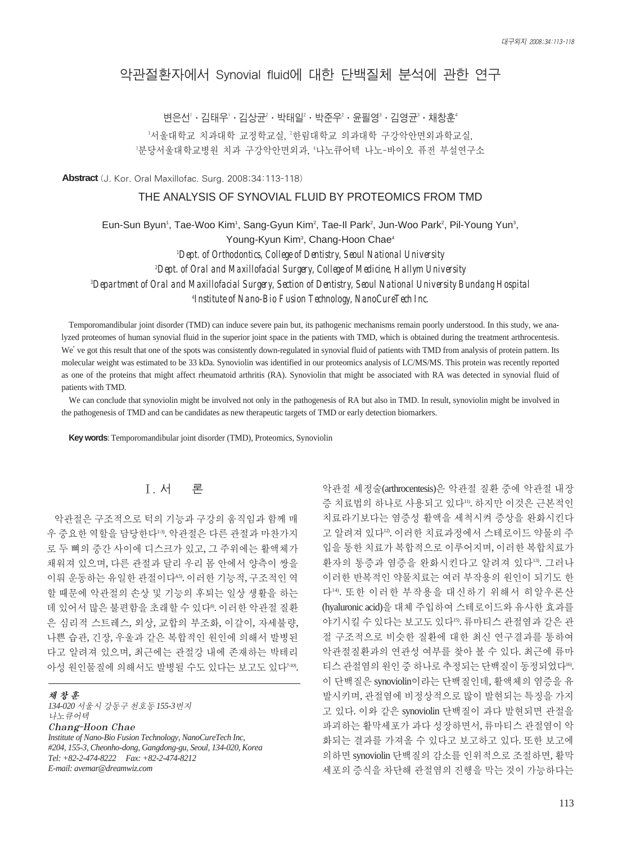# 악관절환자에서 Synovial fluid에 대한 단백질체 분석에 관한 연구

변은선'ㆍ김태우'ㆍ김상균²ㆍ박태일〞・박준우〞・윤필영˚ㆍ김영균˚ㆍ채창훈" '서울대학교 치과대학 교정학교실, ″한림대학교 의과대학 구강악안면외과학교실, <sup>3</sup>분당서울대학교병원 치과 구강악안면외과, '나노큐어텍 나노-바이오 퓨전 부설연구소

**Abstract** (J. Kor. Oral Maxillofac. Surg. 2008;34:113-118)

#### THE ANALYSIS OF SYNOVIAL FLUID BY PROTEOMICS FROM TMD

Eun-Sun Byun<sup>1</sup>, Tae-Woo Kim<sup>1</sup>, Sang-Gyun Kim<sup>2</sup>, Tae-Il Park<sup>2</sup>, Jun-Woo Park<sup>2</sup>, Pil-Young Yun<sup>3</sup>, Young-Kyun Kim<sup>3</sup>, Chang-Hoon Chae<sup>4</sup>

 *Dept. of Orthodontics, College of Dentistry, Seoul National University Dept. of Oral and Maxillofacial Surgery, College of Medicine, Hallym University Department of Oral and Maxillofacial Surgery, Section of Dentistry, Seoul National University Bundang Hospital Institute of Nano-Bio Fusion Technology, NanoCureTech Inc.*

Temporomandibular joint disorder (TMD) can induce severe pain but, its pathogenic mechanisms remain poorly understood. In this study, we analyzed proteomes of human synovial fluid in the superior joint space in the patients with TMD, which is obtained during the treatment arthrocentesis. We've got this result that one of the spots was consistently down-regulated in synovial fluid of patients with TMD from analysis of protein pattern. Its molecular weight was estimated to be 33 kDa. Synoviolin was identified in our proteomics analysis of LC/MS/MS. This protein was recently reported as one of the proteins that might affect rheumatoid arthritis (RA). Synoviolin that might be associated with RA was detected in synovial fluid of patients with TMD.

We can conclude that synoviolin might be involved not only in the pathogenesis of RA but also in TMD. In result, synoviolin might be involved in the pathogenesis of TMD and can be candidates as new therapeutic targets of TMD or early detection biomarkers.

**Key words**: Temporomandibular joint disorder (TMD), Proteomics, Synoviolin

## Ⅰ. 서 론

악관절은 구조적으로 턱의 기능과 구강의 움직임과 함께 매 우 중요한 역할을 담당한다1-3). 악관절은 다른 관절과 마찬가지 로 두 뼈의 중간 사이에 디스크가 있고, 그 주위에는 활액체가 채워져 있으며, 다른 관절과 달리 우리 몸 안에서 양측이 쌍을 이뤄 운동하는 유일한 관절이다<sup>45</sup>. 이러한 기능적, 구조적인 역 할 때문에 악관절의 손상 및 기능의 후퇴는 일상 생활을 하는 데 있어서 많은 불편함을 초래할 수 있다<sup>0</sup>. 이러한 악관절 질환 은 심리적 스트레스, 외상, 교합의 부조화, 이갈이, 자세불량, 나쁜 습관, 긴장, 우울과 같은 복합적인 원인에 의해서 발병된 다고 알려져 있으며, 최근에는 관절강 내에 존재하는 박테리 아성 원인물질에 의해서도 발병될 수도 있다는 보고도 있다<sup>740</sup>.

채창훈

*134-020* 서울시 강동구 천호동 *155-3*번지 나노큐어텍 Chang-Hoon Chae *Institute of Nano-Bio Fusion Technology, NanoCureTech Inc, #204, 155-3, Cheonho-dong, Gangdong-gu, Seoul, 134-020, Korea Tel: +82-2-474-8222 Fax: +82-2-474-8212 E-mail: avemar@dreamwiz.com*

악관절 세정술(arthrocentesis)은 악관절 질환 중에 악관절 내장 증 치료법의 하나로 사용되고 있다11). 하지만 이것은 근본적인 치료라기보다는 염증성 활액을 세척시켜 증상을 완화시킨다 고 알려져 있다12). 이러한 치료과정에서 스테로이드 약물의 주 입을 통한 치료가 복합적으로 이루어지며, 이러한 복합치료가 환자의 통증과 염증을 완화시킨다고 알려져 있다13). 그러나 이러한 반복적인 약물치료는 여러 부작용의 원인이 되기도 한 다14). 또한 이러한 부작용을 대신하기 위해서 히알우론산 (hyaluronic acid)을 대체 주입하여 스테로이드와 유사한 효과를 야기시킬 수 있다는 보고도 있다<sup>15</sup>. 류마티스 관절염과 같은 관 절 구조적으로 비슷한 질환에 대한 최신 연구결과를 통하여 악관절질환과의 연관성 여부를 찾아 볼 수 있다. 최근에 류마 티스 관절염의 원인 중 하나로 추정되는 단백질이 동정되었다<sup>16</sup>. 이 단백질은 synoviolin이라는 단백질인데, 활액체의 염증을 유 발시키며, 관절염에 비정상적으로 많이 발현되는 특징을 가지 고 있다. 이와 같은 synoviolin 단백질이 과다 발현되면 관절을 파괴하는 활막세포가 과다 성장하면서, 류마티스 관절염이 악 화되는 결과를 가져올 수 있다고 보고하고 있다. 또한 보고에 의하면 synoviolin 단백질의 감소를 인위적으로 조절하면, 활막 세포의 증식을 차단해 관절염의 진행을 막는 것이 가능하다는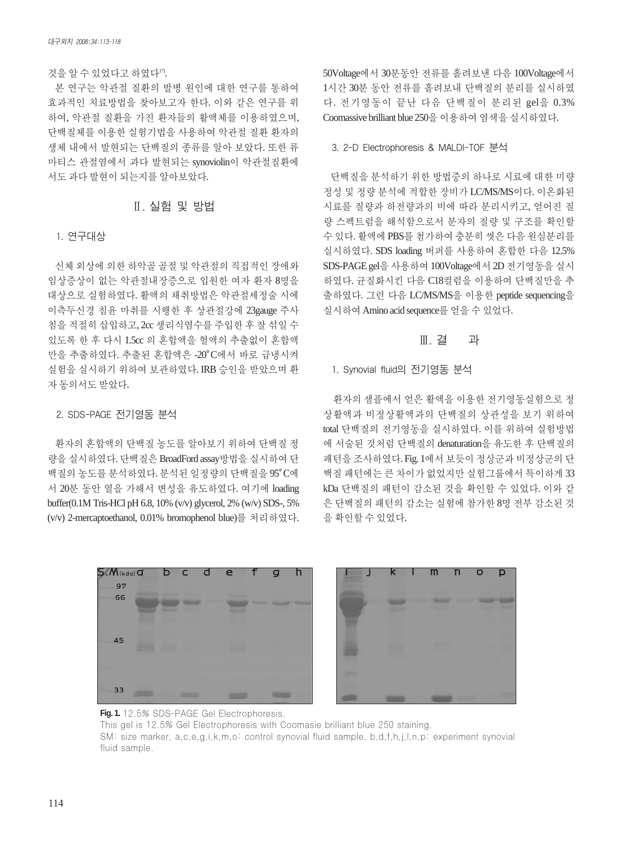#### 것을 알 수 있었다고 하였다".

본 연구는 악관절 질환의 발병 원인에 대한 연구를 통하여 효과적인 치료방법을 찾아보고자 한다. 이와 같은 연구를 위 하여, 악관절 질환을 가진 환자들의 활액체를 이용하였으며, 단백질체를 이용한 실험기법을 사용하여 악관절 질환 환자의 생체 내에서 발현되는 단백질의 종류를 알아 보았다. 또한 류 마티스 관절염에서 과다 발현되는 synoviolin이 악관절질환에 서도과다발현이되는지를알아보았다.

## Ⅱ. 실험 및 방법

#### 1. 연구대상

신체 외상에 의한 하악골 골절 및 악관절의 직접적인 장애와 임상증상이 없는 악관절내장증으로 입원한 여자 환자 8명을 대상으로 실험하였다. 활액의 채취방법은 악관절세정술 시에 이측두신경 침윤 마취를 시행한 후 상관절강에 23gauge 주사 침을 적절히 삽입하고, 2cc 생리식염수를 주입한 후 잘 섞일 수 있도록 한 후 다시 1.5cc 의 혼합액을 혈액의 추출없이 혼합액 만을 추출하였다. 추출된 혼합액은 -20�C에서 바로 급냉시켜 실험을 실시하기 위하여 보관하였다. IRB 승인을 받았으며 환 자동의서도받았다.

## 2. SDS-PAGE 전기영동 분석

환자의 혼합액의 단백질 농도를 알아보기 위하여 단백질 정 량을 실시하였다. 단백질은 BroadFord assay방법을 실시하여 단 백질의 농도를 분석하였다. 분석된 일정량의 단백질을 95°C에 서 20분 동안 열을 가해서 변성을 유도하였다. 여기에 loading buffer(0.1M Tris-HCl pH 6.8, 10% (v/v) glycerol, 2% (w/v) SDS-, 5% (v/v) 2-mercaptoethanol, 0.01% bromophenol blue)를 처리하였다. 50Voltage에서 30분동안 전류를 흘려보낸 다음 100Voltage에서 1시간 30분 동안 전류를 흘려보내 단백질의 분리를 실시하였 다. 전기영동이 끝난 다음 단백질이 분리된 gel을 0.3% Coomassive brilliant blue 250을이용하여염색을실시하였다.

#### 3. 2-D Electrophoresis & MALDI-TOF 분석

단백질을 분석하기 위한 방법중의 하나로 시료에 대한 미량 정성 및 정량 분석에 적합한 장비가 LC/MS/MS이다. 이온화된 시료를 질량과 하전량과의 비에 따라 분리시키고, 얻어진 질 량 스펙트럼을 해석함으로서 분자의 질량 및 구조를 확인할 수 있다. 활액에 PBS를 첨가하여 충분히 씻은 다음 원심분리를 실시하였다. SDS loading 버퍼를 사용하여 혼합한 다음 12.5% SDS-PAGE gel을 사용하여 100Voltage에서 2D 전기영동을 실시 하였다. 균질화시킨 다음 C18컬럼을 이용하여 단백질만을 추 출하였다. 그런 다음 LC/MS/MS을 이용한 peptide sequencing을 실시하여 Amino acid sequence를 얻을 수 있었다.

## Ⅲ. 결 과

#### 1. Synovial fluid의 전기영동 분석

환자의 샘플에서 얻은 활액을 이용한 전기영동실험으로 정 상활액과 비정상활액과의 단백질의 상관성을 보기 위하여 total 단백질의 전기영동을 실시하였다. 이를 위하여 실험방법 에 서술된 것처럼 단백질의 denaturation을 유도한 후 단백질의 패턴을 조사하였다. Fig. 1에서 보듯이 정상군과 비정상군의 단 백질 패턴에는 큰 차이가 없었지만 실험그룹에서 특이하게 33 kDa 단백질의 패턴이 감소된 것을 확인할 수 있었다. 이와 같 은 단백질의 패턴의 감소는 실험에 참가한 8명 전부 감소된 것 을확인할수있었다.





**Fig. 1.** 12.5% SDS-PAGE Gel Electrophoresis. This gel is 12.5% Gel Electrophoresis with Coomasie brilliant blue 250 staining. SM: size marker, a,c,e,g,i,k,m,o: control synovial fluid sample. b,d,f,h,j,l,n,p: experiment synovial fluid sample.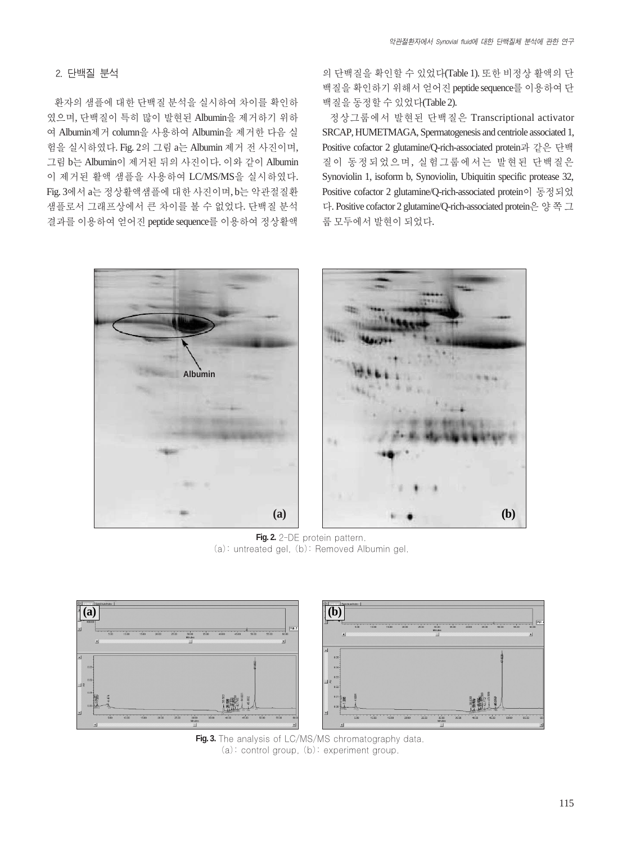## 2. 단백질 분석

환자의 샘플에 대한 단백질 분석을 실시하여 차이를 확인하 였으며, 단백질이 특히 많이 발현된 Albumin을 제거하기 위하 여 Albumin제거 column을 사용하여 Albumin을 제거한 다음 실 험을 실시하였다. Fig. 2의 그림 a는 Albumin 제거 전 사진이며, 그림 b는 Albumin이 제거된 뒤의 사진이다. 이와 같이 Albumin 이 제거된 활액 샘플을 사용하여 LC/MS/MS을 실시하였다. Fig. 3에서 a는 정상활액샘플에대한 사진이며, b는 악관절질환 샘플로서 그래프상에서 큰 차이를 볼 수 없었다. 단백질 분석 결과를 이용하여 얻어진 peptide sequence를 이용하여 정상활액 의 단백질을 확인할 수 있었다(Table 1). 또한 비정상 활액의 단 백질을 확인하기 위해서 얻어진 peptide sequence를 이용하여 단 백질을동정할수있었다(Table 2).

정상그룹에서 발현된 단백질은 Transcriptional activator SRCAP, HUMETMAGA, Spermatogenesis and centriole associated 1, Positive cofactor 2 glutamine/Q-rich-associated protein과 같은 단백 질이 동정되었으며, 실험그룹에서는 발현된 단백질은 Synoviolin 1, isoform b, Synoviolin, Ubiquitin specific protease 32, Positive cofactor 2 glutamine/Q-rich-associated protein이 동정되었 다. Positive cofactor 2 glutamine/Q-rich-associated protein은 양쪽그 룹모두에서발현이되었다.



Fig. 2. 2-DE protein pattern. (a): untreated gel, (b): Removed Albumin gel.



**Fig. 3.** The analysis of LC/MS/MS chromatography data. (a): control group, (b): experiment group.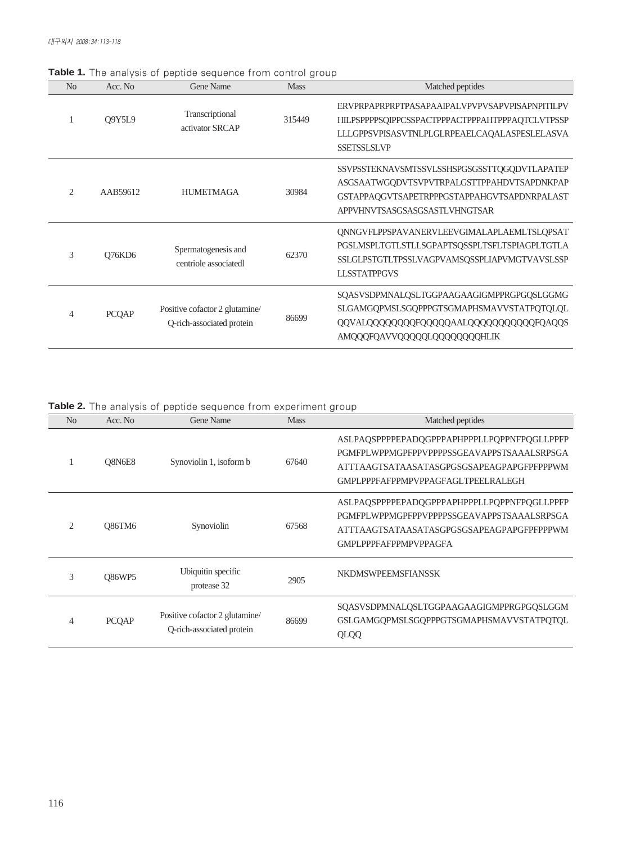| N <sub>o</sub> | Acc. No      | Gene Name                                                   | <b>Mass</b> | Matched peptides                                                                                                                                                           |
|----------------|--------------|-------------------------------------------------------------|-------------|----------------------------------------------------------------------------------------------------------------------------------------------------------------------------|
|                | Q9Y5L9       | Transcriptional<br>activator SRCAP                          | 315449      | ERVPRPAPRPRPTPASAPAAIPALVPVPVSAPVPISAPNPITILPV<br>HILPSPPPPSQIPPCSSPACTPPPACTPPPAHTPPPAQTCLVTPSSP<br>LLLGPPSVPISASVTNLPLGLRPEAELCAOALASPESLELASVA<br><b>SSETSSLSLVP</b>    |
| $\mathfrak{D}$ | AAB59612     | <b>HUMETMAGA</b>                                            | 30984       | SSVPSSTEKNAVSMTSSVLSSHSPGSGSSTTQGQDVTLAPATEP<br>ASGSAATWGQDVTSVPVTRPALGSTTPPAHDVTSAPDNKPAP<br>GSTAPPAQGVTSAPETRPPPGSTAPPAHGVTSAPDNRPALAST<br>APPVHNVTSASGSASGSASTLVHNGTSAR |
| 3              | Q76KD6       | Spermatogenesis and<br>centriole associatedl                | 62370       | QNNGVFLPPSPAVANERVLEEVGIMALAPLAEMLTSLQPSAT<br>PGSLMSPLTGTLSTLLSGPAPTSQSSPLTSFLTSPIAGPLTGTLA<br>SSLGLPSTGTLTPSSLVAGPVAMSQSSPLIAPVMGTVAVSLSSP<br><b>LLSSTATPPGVS</b>         |
| 4              | <b>PCQAP</b> | Positive cofactor 2 glutamine/<br>Q-rich-associated protein | 86699       | SQASVSDPMNALQSLTGGPAAGAAGIGMPPRGPGQSLGGMG<br>SLGAMGQPMSLSGQPPPGTSGMAPHSMAVVSTATPQTQLQL<br>QQVALQQQQQQQQFQQQQQAALQQQQQQQQQQQFQAQQS<br>AMQQQFQAVVQQQQQLQQQQQQQQHLIK          |

**Table 1.** The analysis of peptide sequence from control group

**Table 2.** The analysis of peptide sequence from experiment group

| N <sub>0</sub> | Acc. No.      | <b>Gene Name</b>                                            | <b>Mass</b> | Matched peptides                                                                                                                                                                    |
|----------------|---------------|-------------------------------------------------------------|-------------|-------------------------------------------------------------------------------------------------------------------------------------------------------------------------------------|
|                | O8N6E8        | Synoviolin 1, isoform b                                     | 67640       | ASLPAQSPPPPEPADQGPPPAPHPPPLLPQPPNFPQGLLPPFP<br>PGMFPLWPPMGPFPPVPPPPSSGEAVAPPSTSAAALSRPSGA<br>ATTTAAGTSATAASATASGPGSGSAPEAGPAPGFPFPPPWM<br><b>GMPLPPPFAFPPMPVPPAGFAGLTPEELRALEGH</b> |
| $\mathfrak{D}$ | <b>O86TM6</b> | Synoviolin                                                  | 67568       | ASLPAQSPPPPEPADQGPPPAPHPPPLLPQPPNFPQGLLPPFP<br>PGMFPLWPPMGPFPPVPPPPSSGEAVAPPSTSAAALSRPSGA<br>ATTTAAGTSATAASATASGPGSGSAPEAGPAPGFPFPPPWM<br>GMPL PPPFAFPPMPVPPAGFA                    |
| 3              | <b>O86WP5</b> | Ubiquitin specific<br>protease 32                           | 2905        | <b>NKDMSWPEEMSFIANSSK</b>                                                                                                                                                           |
| 4              | <b>PCQAP</b>  | Positive cofactor 2 glutamine/<br>Q-rich-associated protein | 86699       | SOASVSDPMNALOSLTGGPAAGAAGIGMPPRGPGOSLGGM<br>GSLGAMGOPMSLSGOPPPGTSGMAPHSMAVVSTATPOTOL<br>QLQQ                                                                                        |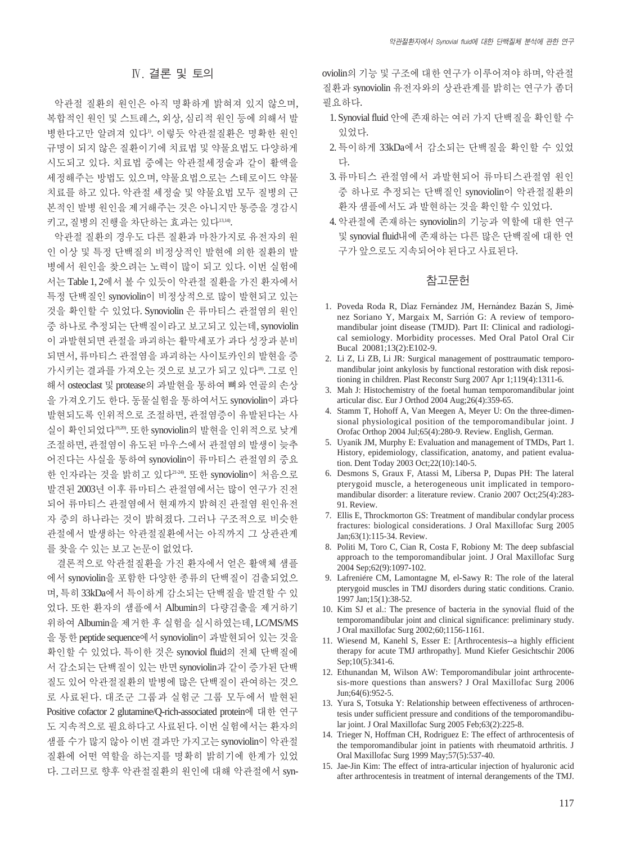## Ⅳ. 결론 및 토의

악관절 질환의 원인은 아직 명확하게 밝혀져 있지 않으며, 복합적인 원인 및 스트레스, 외상, 심리적 원인 등에 의해서 발 병한다고만 알려져 있다1). 이렇듯 악관절질환은 명확한 원인 규명이 되지 않은 질환이기에 치료법 및 약물요법도 다양하게 시도되고 있다. 치료법 중에는 악관절세정술과 같이 활액을 세정해주는 방법도 있으며, 약물요법으로는 스테로이드 약물 치료를 하고 있다. 악관절 세정술 및 약물요법 모두 질병의 근 본적인 발병 원인을 제거해주는 것은 아니지만 통증을 경감시 키고, 질병의 진행을 차단하는 효과는 있다13,14).

악관절 질환의 경우도 다른 질환과 마찬가지로 유전자의 원 인 이상 및 특정 단백질의 비정상적인 발현에 의한 질환의 발 병에서 원인을 찾으려는 노력이 많이 되고 있다. 이번 실험에 서는 Table 1, 2에서 볼 수 있듯이 악관절 질환을 가진 환자에서 특정 단백질인 synoviolin이 비정상적으로 많이 발현되고 있는 것을 확인할 수 있었다. Synoviolin 은 류마티스 관절염의 원인 중 하나로 추정되는 단백질이라고 보고되고 있는데, synoviolin 이 과발현되면 관절을 파괴하는 활막세포가 과다 성장과 분비 되면서, 류마티스 관절염을 파괴하는 사이토카인의 발현을 증 가시키는 결과를 가져오는 것으로 보고가 되고 있다®. 그로 인 해서 osteoclast 및 protease의 과발현을 통하여 뼈와 연골의 손상 을 가져오기도 한다. 동물실험을 통하여서도 synoviolin이 과다 발현되도록 인위적으로 조절하면, 관절염증이 유발된다는 사 실이 확인되었다<sup>19,20</sup>. 또한 synoviolin의 발현을 인위적으로 낮게 조절하면, 관절염이 유도된 마우스에서 관절염의 발생이 늦추 어진다는 사실을 통하여 synoviolin이 류마티스 관절염의 중요 한 인자라는 것을 밝히고 있다21-24). 또한 synoviolin이 처음으로 발견된 2003년 이후 류마티스 관절염에서는 많이 연구가 진전 되어 류마티스 관절염에서 현재까지 밝혀진 관절염 원인유전 자 중의 하나라는 것이 밝혀졌다. 그러나 구조적으로 비슷한 관절에서 발생하는 악관절질환에서는 아직까지 그 상관관계 를찾을수있는보고논문이없었다.

결론적으로 악관절질환을 가진 환자에서 얻은 활액체 샘플 에서 synoviolin을 포함한 다양한 종류의 단백질이 검출되었으 며, 특히 33kDa에서 특이하게 감소되는 단백질을 발견할 수 있 었다. 또한 환자의 샘플에서 Albumin의 다량검출을 제거하기 위하여 Albumin을 제거한 후 실험을 실시하였는데, LC/MS/MS 을 통한 peptide sequence에서 synoviolin이 과발현되어 있는 것을 확인할 수 있었다. 특이한 것은 synoviol fluid의 전체 단백질에 서 감소되는 단백질이 있는 반면 synoviolin과 같이 증가된 단백 질도 있어 악관절질환의 발병에 많은 단백질이 관여하는 것으 로 사료된다. 대조군 그룹과 실험군 그룹 모두에서 발현된 Positive cofactor 2 glutamine/Q-rich-associated protein에 대한 연구 도 지속적으로 필요하다고 사료된다. 이번 실험에서는 환자의 샘플 수가 많지 않아 이번 결과만 가지고는 synoviolin이 악관절 질환에 어떤 역할을 하는지를 명확히 밝히기에 한계가 있었 다. 그러므로 향후 악관절질환의 원인에 대해 악관절에서 synoviolin의 기능 및 구조에 대한 연구가 이루어져야 하며, 악관절 질환과 synoviolin 유전자와의 상관관계를 밝히는 연구가 좀더 필요하다.

- 1. Synovial fluid 안에 존재하는 여러 가지 단백질을 확인할 수 있었다.
- 2. 특이하게 33kDa에서 감소되는 단백질을 확인할 수 있었 다.
- 3. 류마티스 관절염에서 과발현되어 류마티스관절염 원인 중 하나로 추정되는 단백질인 synoviolin이 악관절질환의 환자샘플에서도과발현하는것을확인할수있었다.
- 4. 악관절에 존재하는 synoviolin의 기능과 역할에 대한 연구 및 synovial fluid내에 존재하는 다른 많은 단백질에 대한 연 구가앞으로도지속되어야된다고사료된다.

## 참고문헌

- 1. Poveda Roda R, Díaz Fernández JM, Hernández Bazán S, Jiménez Soriano Y, Margaix M, Sarrión G: A review of temporomandibular joint disease (TMJD). Part II: Clinical and radiological semiology. Morbidity processes. Med Oral Patol Oral Cir Bucal 20081;13(2):E102-9.
- 2. Li Z, Li ZB, Li JR: Surgical management of posttraumatic temporomandibular joint ankylosis by functional restoration with disk repositioning in children. Plast Reconstr Surg 2007 Apr 1;119(4):1311-6.
- 3. Mah J: Histochemistry of the foetal human temporomandibular joint articular disc. Eur J Orthod 2004 Aug;26(4):359-65.
- 4. Stamm T, Hohoff A, Van Meegen A, Meyer U: On the three-dimensional physiological position of the temporomandibular joint. J Orofac Orthop 2004 Jul;65(4):280-9. Review. English, German.
- 5. Uyanik JM, Murphy E: Evaluation and management of TMDs, Part 1. History, epidemiology, classification, anatomy, and patient evaluation. Dent Today 2003 Oct;22(10):140-5.
- 6. Desmons S, Graux F, Atassi M, Libersa P, Dupas PH: The lateral pterygoid muscle, a heterogeneous unit implicated in temporomandibular disorder: a literature review. Cranio 2007 Oct;25(4):283- 91. Review.
- 7. Ellis E, Throckmorton GS: Treatment of mandibular condylar process fractures: biological considerations. J Oral Maxillofac Surg 2005 Jan;63(1):115-34. Review.
- 8. Politi M, Toro C, Cian R, Costa F, Robiony M: The deep subfascial approach to the temporomandibular joint. J Oral Maxillofac Surg 2004 Sep;62(9):1097-102.
- 9. Lafreniere CM, Lamontagne M, el-Sawy R: The role of the lateral pterygoid muscles in TMJ disorders during static conditions. Cranio. 1997 Jan;15(1):38-52.
- 10. Kim SJ et al.: The presence of bacteria in the synovial fluid of the temporomandibular joint and clinical significance: preliminary study. J Oral maxillofac Surg 2002;60;1156-1161.
- 11. Wiesend M, Kanehl S, Esser E: [Arthrocentesis--a highly efficient therapy for acute TMJ arthropathy]. Mund Kiefer Gesichtschir 2006 Sep;10(5):341-6.
- 12. Ethunandan M, Wilson AW: Temporomandibular joint arthrocentesis-more questions than answers? J Oral Maxillofac Surg 2006 Jun;64(6):952-5.
- 13. Yura S, Totsuka Y: Relationship between effectiveness of arthrocentesis under sufficient pressure and conditions of the temporomandibular joint. J Oral Maxillofac Surg 2005 Feb;63(2):225-8.
- 14. Trieger N, Hoffman CH, Rodriguez E: The effect of arthrocentesis of the temporomandibular joint in patients with rheumatoid arthritis. J Oral Maxillofac Surg 1999 May;57(5):537-40.
- 15. Jae-Jin Kim: The effect of intra-articular injection of hyaluronic acid after arthrocentesis in treatment of internal derangements of the TMJ.